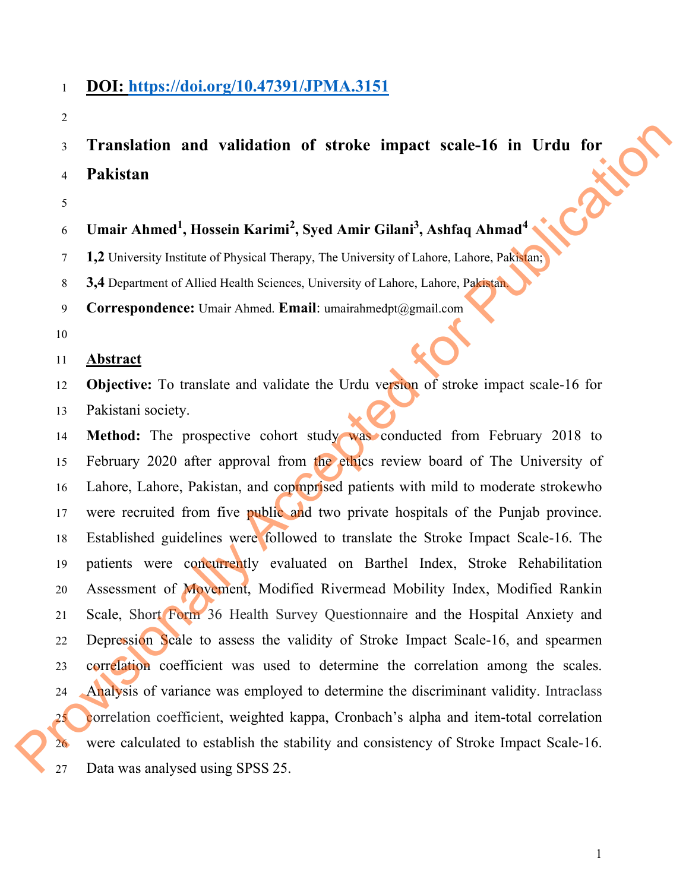## <sup>1</sup>**DOI: https://doi.org/10.47391/JPMA.3151**

2

3 Translation and validation of stroke impact scale-16 in Urdu for<br>4 Pakistan<br>5 Umair Ahmed<sup>1</sup> Pack <sup>4</sup>**Pakistan** 

5

# **Umair Ahmed<sup>1</sup> , Hossein Karimi<sup>2</sup> , Syed Amir Gilani3 , Ashfaq Ahmad<sup>4</sup>** <sup>6</sup>

7 **1,2** University Institute of Physical Therapy, The University of Lahore, Lahore, Pakistan;

8 **3,4** Department of Allied Health Sciences, University of Lahore, Lahore, Pakistan.

9 **Correspondence:** Umair Ahmed. **Email**: umairahmedpt@gmail.com

10

### 11 **Abstract**

12 **Objective:** To translate and validate the Urdu version of stroke impact scale-16 for 13 Pakistani society.

14 **Method:** The prospective cohort study was conducted from February 2018 to 15 February 2020 after approval from the ethics review board of The University of 16 Lahore, Lahore, Pakistan, and copmprised patients with mild to moderate strokewho 17 were recruited from five public and two private hospitals of the Punjab province. 18 Established guidelines were followed to translate the Stroke Impact Scale-16. The 19 patients were concurrently evaluated on Barthel Index, Stroke Rehabilitation 20 Assessment of Movement, Modified Rivermead Mobility Index, Modified Rankin 21 Scale, Short Form 36 Health Survey Questionnaire and the Hospital Anxiety and 22 Depression Scale to assess the validity of Stroke Impact Scale-16, and spearmen 23 correlation coefficient was used to determine the correlation among the scales. 24 Analysis of variance was employed to determine the discriminant validity. Intraclass 25 correlation coefficient, weighted kappa, Cronbach's alpha and item-total correlation 26 were calculated to establish the stability and consistency of Stroke Impact Scale-16. 19 patients were concurrently<br>
20 Assessment of Movement, M<br>
21 Scale, Short Form 36 Health<br>
22 Depression Scale to assess tl<br>
23 correlation coefficient was u<br>
24 Analysis of variance was emp<br>
25 correlation coefficient, 27 Data was analysed using SPSS 25. Idation of stroke impact scale-16 in Urdu for<br>
Karimi<sup>2</sup>, Syed Amir Gilani<sup>3</sup>, Ashfaq Ahmad<sup>4</sup><br>
ysical Therapy, The University of Lahore, Lahore, Pakistan,<br>
Ahmed Email: umairahmedpt@gmail.com<br>
Ahmed Email: umairahmedpt@gm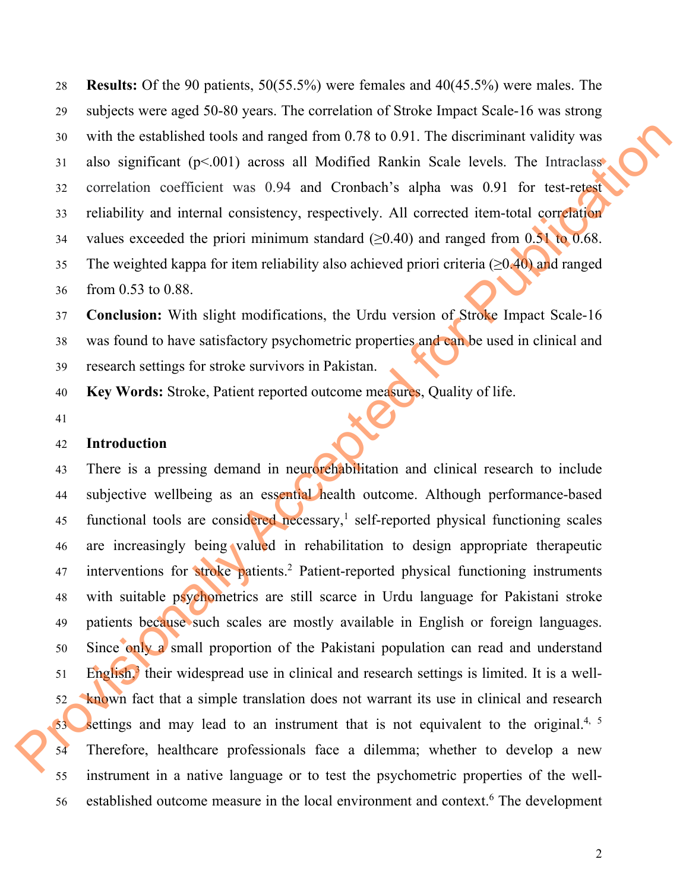28 **Results:** Of the 90 patients, 50(55.5%) were females and 40(45.5%) were males. The 29 subjects were aged 50-80 years. The correlation of Stroke Impact Scale-16 was strong 30 with the established tools and ranged from 0.78 to 0.91. The discriminant validity was 31 also significant (p<.001) across all Modified Rankin Scale levels. The Intraclass 32 correlation coefficient was 0.94 and Cronbach's alpha was 0.91 for test-retest 33 reliability and internal consistency, respectively. All corrected item-total correlation 34 values exceeded the priori minimum standard  $(\geq 0.40)$  and ranged from 0.51 to 0.68. 35 The weighted kappa for item reliability also achieved priori criteria ( $\geq 0.40$ ) and ranged 36 from 0.53 to 0.88.

37 **Conclusion:** With slight modifications, the Urdu version of Stroke Impact Scale-16 38 was found to have satisfactory psychometric properties and can be used in clinical and 39 research settings for stroke survivors in Pakistan.

40 **Key Words:** Stroke, Patient reported outcome measures, Quality of life.

41

### 42 **Introduction**

43 There is a pressing demand in neurorchabilitation and clinical research to include 44 subjective wellbeing as an essential health outcome. Although performance-based 45 functional tools are considered necessary,<sup>1</sup> self-reported physical functioning scales 46 are increasingly being valued in rehabilitation to design appropriate therapeutic 47 interventions for stroke patients.<sup>2</sup> Patient-reported physical functioning instruments 48 with suitable psychometrics are still scarce in Urdu language for Pakistani stroke 49 patients because such scales are mostly available in English or foreign languages. 50 Since only a small proportion of the Pakistani population can read and understand  $51$  English,<sup>3</sup> their widespread use in clinical and research settings is limited. It is a well-52 known fact that a simple translation does not warrant its use in clinical and research  $\sim$  settings and may lead to an instrument that is not equivalent to the original.<sup>4, 5</sup> 54 Therefore, healthcare professionals face a dilemma; whether to develop a new 55 instrument in a native language or to test the psychometric properties of the well-56 established outcome measure in the local environment and context.<sup>6</sup> The development 30 with the established tools and ranged from 0.78 to 0.91. The discriminant validity was<br>
31 also significant (6-5001) arcos all Modifica Reaktai Scale levels. The latterclass<br>
25 correction coefficient was 0.94 and Cros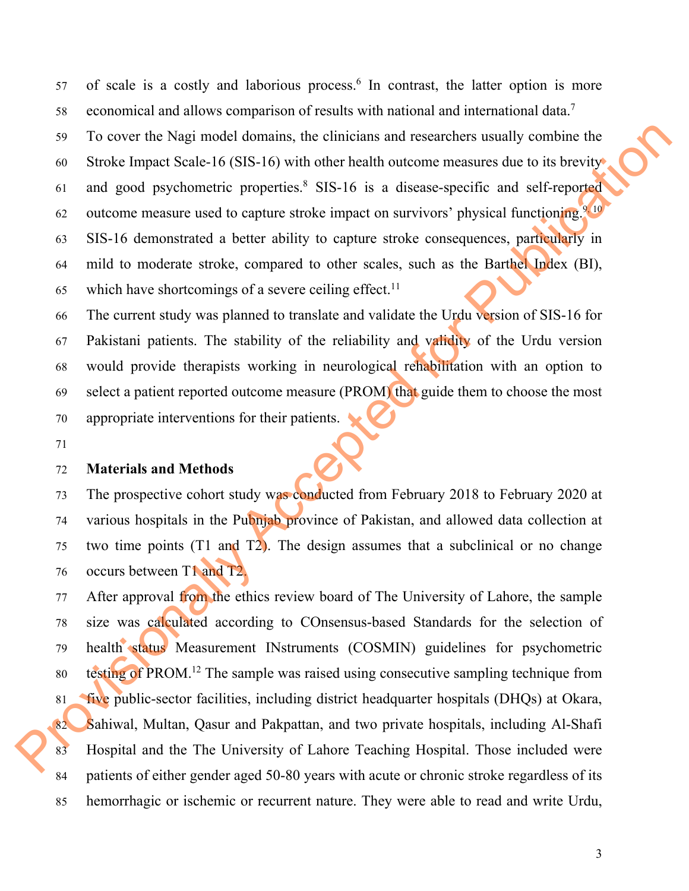57 of scale is a costly and laborious process.<sup>6</sup> In contrast, the latter option is more economical and allows comparison of results with national and international data.7 58 59 To cover the Nagi model domains, the clinicians and researchers usually combine the 60 Stroke Impact Scale-16 (SIS-16) with other health outcome measures due to its brevity 61 and good psychometric properties. $8$  SIS-16 is a disease-specific and self-reported 62 outcome measure used to capture stroke impact on survivors' physical functioning.<sup>9, 10</sup> 63 SIS-16 demonstrated a better ability to capture stroke consequences, particularly in 64 mild to moderate stroke, compared to other scales, such as the Barthel Index (BI), 65 which have shortcomings of a severe ceiling effect.<sup>11</sup>

66 The current study was planned to translate and validate the Urdu version of SIS-16 for 67 Pakistani patients. The stability of the reliability and validity of the Urdu version 68 would provide therapists working in neurological rehabilitation with an option to 69 select a patient reported outcome measure (PROM) that guide them to choose the most 70 appropriate interventions for their patients.

71

### 72 **Materials and Methods**

73 The prospective cohort study was conducted from February 2018 to February 2020 at 74 various hospitals in the Pubnjab province of Pakistan, and allowed data collection at 75 two time points (T1 and T2). The design assumes that a subclinical or no change 76 occurs between T1 and T2.

77 After approval from the ethics review board of The University of Lahore, the sample 78 size was calculated according to COnsensus-based Standards for the selection of 79 health status Measurement INstruments (COSMIN) guidelines for psychometric so testing of PROM.<sup>12</sup> The sample was raised using consecutive sampling technique from 81 five public-sector facilities, including district headquarter hospitals (DHQs) at Okara, 82 Sahiwal, Multan, Qasur and Pakpattan, and two private hospitals, including Al-Shafi 83 Hospital and the The University of Lahore Teaching Hospital. Those included were 84 patients of either gender aged 50-80 years with acute or chronic stroke regardless of its 85 hemorrhagic or ischemic or recurrent nature. They were able to read and write Urdu, 99 To cover the Nagi model domains, the clinicians and researchers usually combine the solution through Stroke impact State-16 (SIS-16) with other heading to a disconvergence of the forecast of the solution of the solutio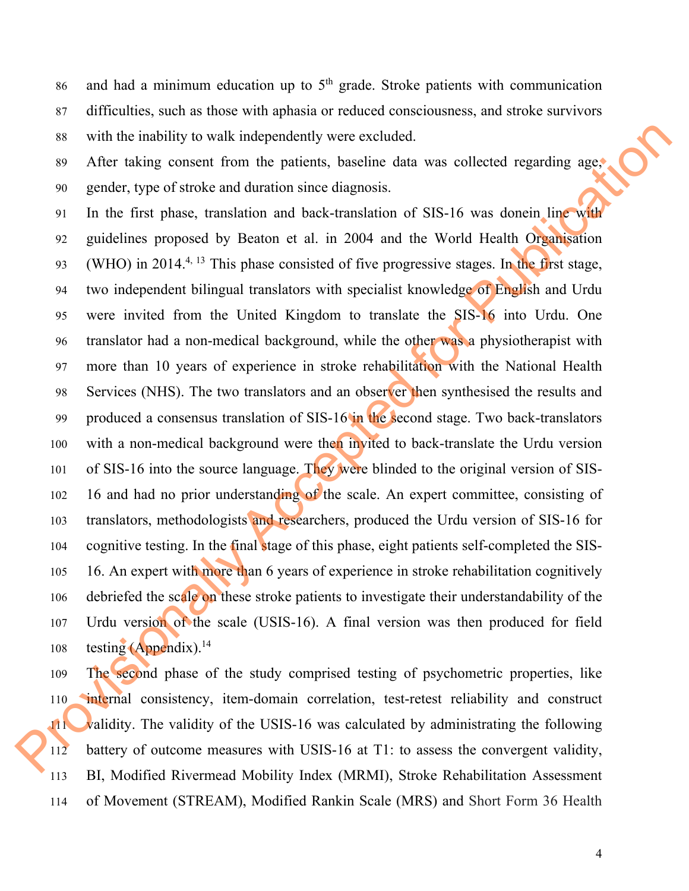86 and had a minimum education up to  $5<sup>th</sup>$  grade. Stroke patients with communication 87 difficulties, such as those with aphasia or reduced consciousness, and stroke survivors 88 with the inability to walk independently were excluded.

89 After taking consent from the patients, baseline data was collected regarding age, 90 gender, type of stroke and duration since diagnosis.

91 In the first phase, translation and back-translation of SIS-16 was donein line with 92 guidelines proposed by Beaton et al. in 2004 and the World Health Organisation (WHO) in 2014.<sup>4, 13</sup> This phase consisted of five progressive stages. In the first stage, 94 two independent bilingual translators with specialist knowledge of English and Urdu 95 were invited from the United Kingdom to translate the SIS-16 into Urdu. One 96 translator had a non-medical background, while the other was a physiotherapist with 97 more than 10 years of experience in stroke rehabilitation with the National Health 98 Services (NHS). The two translators and an observer then synthesised the results and 99 produced a consensus translation of SIS-16 in the second stage. Two back-translators 100 with a non-medical background were then invited to back-translate the Urdu version 101 of SIS-16 into the source language. They were blinded to the original version of SIS-102 16 and had no prior understanding of the scale. An expert committee, consisting of 103 translators, methodologists and researchers, produced the Urdu version of SIS-16 for 104 cognitive testing. In the final stage of this phase, eight patients self-completed the SIS-105 16. An expert with more than 6 years of experience in stroke rehabilitation cognitively 106 debriefed the scale on these stroke patients to investigate their understandability of the 107 Urdu version of the scale (USIS-16). A final version was then produced for field 108 testing  $(Appendix).<sup>14</sup>$ ss with the inability to walk independently were excluded.<br>
20 After taking consent from the patients, baseline data was collected regarding ages<br>
29 gandets, type of stock and durint since diagnosis.<br>
21 In the first pha

109 The second phase of the study comprised testing of psychometric properties, like 110 internal consistency, item-domain correlation, test-retest reliability and construct 111 validity. The validity of the USIS-16 was calculated by administrating the following 112 battery of outcome measures with USIS-16 at T1: to assess the convergent validity, 113 BI, Modified Rivermead Mobility Index (MRMI), Stroke Rehabilitation Assessment 114 of Movement (STREAM), Modified Rankin Scale (MRS) and Short Form 36 Health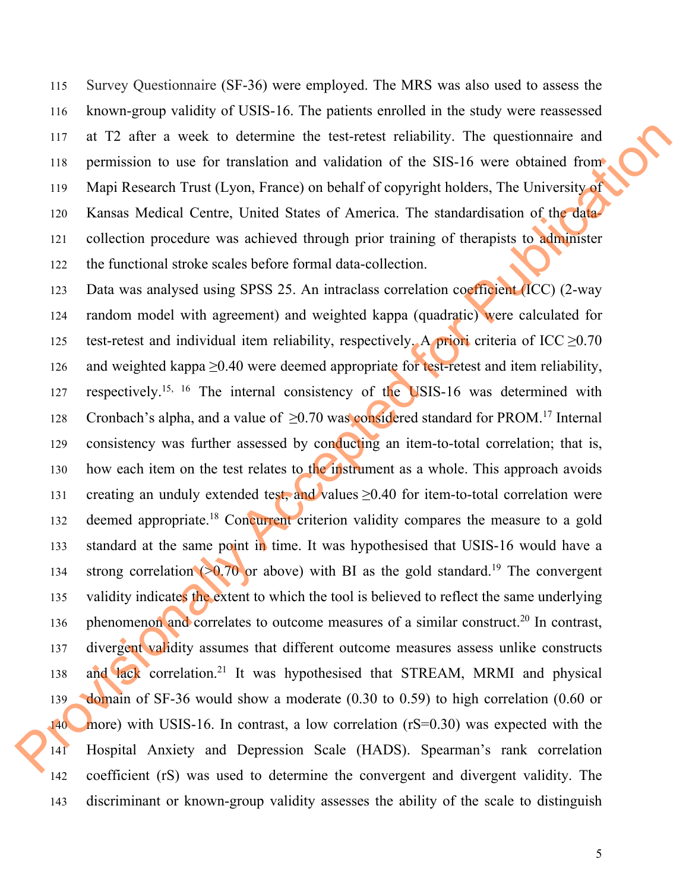115 Survey Questionnaire (SF-36) were employed. The MRS was also used to assess the 116 known-group validity of USIS-16. The patients enrolled in the study were reassessed 117 at T2 after a week to determine the test-retest reliability. The questionnaire and 118 permission to use for translation and validation of the SIS-16 were obtained from 119 Mapi Research Trust (Lyon, France) on behalf of copyright holders, The University of 120 Kansas Medical Centre, United States of America. The standardisation of the data-121 collection procedure was achieved through prior training of therapists to administer 122 the functional stroke scales before formal data-collection.

123 Data was analysed using SPSS 25. An intraclass correlation coefficient (ICC) (2-way 124 random model with agreement) and weighted kappa (quadratic) were calculated for 125 test-retest and individual item reliability, respectively. A priori criteria of ICC  $\geq 0.70$ 126 and weighted kappa ≥0.40 were deemed appropriate for test-retest and item reliability, 127 respectively.<sup>15, 16</sup> The internal consistency of the USIS-16 was determined with 128 Cronbach's alpha, and a value of  $\geq$ 0.70 was considered standard for PROM.<sup>17</sup> Internal 129 consistency was further assessed by conducting an item-to-total correlation; that is, 130 how each item on the test relates to the instrument as a whole. This approach avoids 131 creating an unduly extended test, and values  $\geq 0.40$  for item-to-total correlation were 132 deemed appropriate.<sup>18</sup> Concurrent criterion validity compares the measure to a gold 133 standard at the same point in time. It was hypothesised that USIS-16 would have a 134 strong correlation ( $\geq 0.70$  or above) with BI as the gold standard.<sup>19</sup> The convergent 135 validity indicates the extent to which the tool is believed to reflect the same underlying 136 phenomenon and correlates to outcome measures of a similar construct.<sup>20</sup> In contrast, 137 divergent validity assumes that different outcome measures assess unlike constructs 138 and lack correlation.<sup>21</sup> It was hypothesised that STREAM, MRMI and physical 139 domain of SF-36 would show a moderate (0.30 to 0.59) to high correlation (0.60 or 140 more) with USIS-16. In contrast, a low correlation (rS=0.30) was expected with the 141 Hospital Anxiety and Depression Scale (HADS). Spearman's rank correlation 142 coefficient (rS) was used to determine the convergent and divergent validity. The 143 discriminant or known-group validity assesses the ability of the scale to distinguish 117 at T2 after a week to determine the test-retest reliability. The questionnaire and<br>
118 permission to use for translation and validation of the SIS-16 were obtained from<br>
119 Mapi Research Tras (Lyon, France) and beha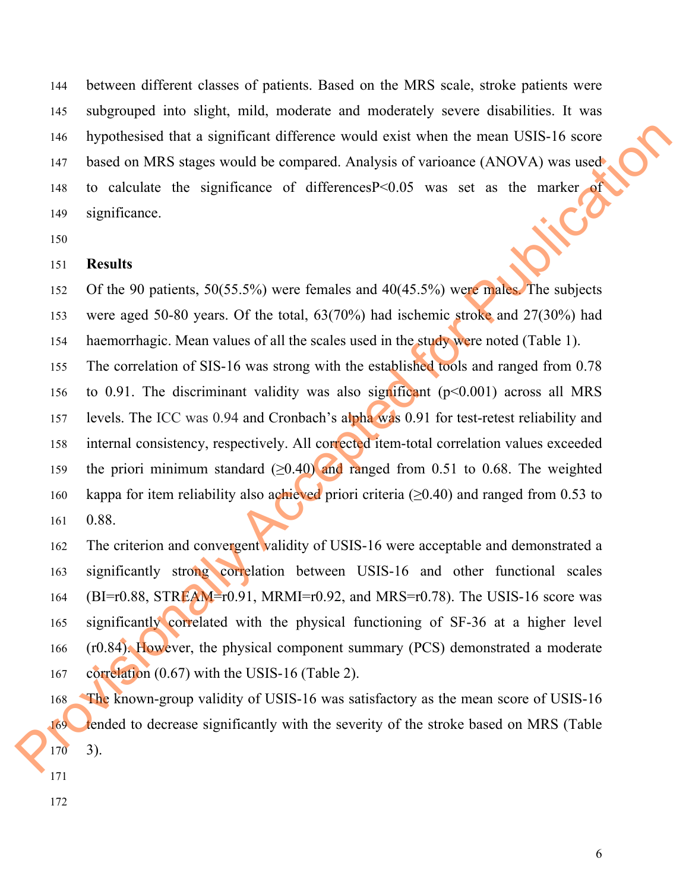144 between different classes of patients. Based on the MRS scale, stroke patients were 145 subgrouped into slight, mild, moderate and moderately severe disabilities. It was 146 hypothesised that a significant difference would exist when the mean USIS-16 score 147 based on MRS stages would be compared. Analysis of varioance (ANOVA) was used 148 to calculate the significance of differencesP<0.05 was set as the marker of significance.<br>150 149 significance.

150

#### 151 **Results**

152 Of the 90 patients, 50(55.5%) were females and 40(45.5%) were males. The subjects 153 were aged 50-80 years. Of the total, 63(70%) had ischemic stroke and 27(30%) had 154 haemorrhagic. Mean values of all the scales used in the study were noted (Table 1).

155 The correlation of SIS-16 was strong with the established tools and ranged from 0.78 156 to 0.91. The discriminant validity was also significant (p<0.001) across all MRS 157 levels. The ICC was 0.94 and Cronbach's alpha was 0.91 for test-retest reliability and 158 internal consistency, respectively. All corrected item-total correlation values exceeded 159 the priori minimum standard  $(≥0.40)$  and ranged from 0.51 to 0.68. The weighted 160 kappa for item reliability also achieved priori criteria ( $\geq$ 0.40) and ranged from 0.53 to 161 0.88. 146 hypothesised that a significant difference would exist when the mean USIS-16 score<br>
147 based on MRS stages would be compared. Analysis of variousce (ANOVA) was used<br>
148 to calculate the significance of differences1<sup></sup>

162 The criterion and convergent validity of USIS-16 were acceptable and demonstrated a 163 significantly strong correlation between USIS-16 and other functional scales 164 (BI=r0.88, STREAM=r0.91, MRMI=r0.92, and MRS=r0.78). The USIS-16 score was 165 significantly correlated with the physical functioning of SF-36 at a higher level 166 (r0.84). However, the physical component summary (PCS) demonstrated a moderate 167 correlation (0.67) with the USIS-16 (Table 2).

168 The known-group validity of USIS-16 was satisfactory as the mean score of USIS-16 169 tended to decrease significantly with the severity of the stroke based on MRS (Table 170 3).

- 171
- 172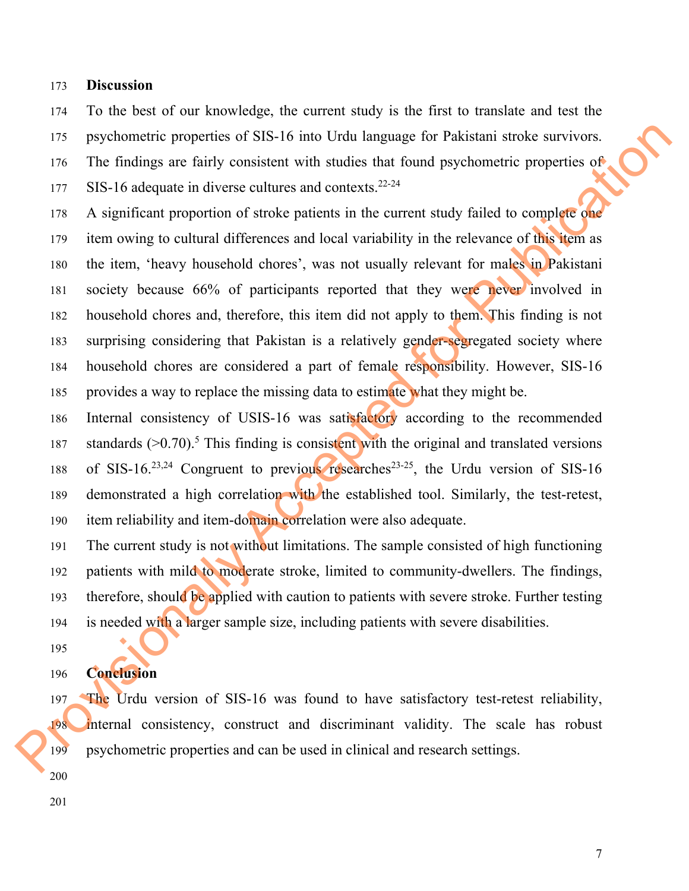### 173 **Discussion**

174 To the best of our knowledge, the current study is the first to translate and test the 175 psychometric properties of SIS-16 into Urdu language for Pakistani stroke survivors. 176 The findings are fairly consistent with studies that found psychometric properties of 177 SIS-16 adequate in diverse cultures and contexts.<sup>22-24</sup>

- 178 A significant proportion of stroke patients in the current study failed to complete one 179 item owing to cultural differences and local variability in the relevance of this item as 180 the item, 'heavy household chores', was not usually relevant for males in Pakistani 181 society because 66% of participants reported that they were never involved in 182 household chores and, therefore, this item did not apply to them. This finding is not 183 surprising considering that Pakistan is a relatively gender-segregated society where 184 household chores are considered a part of female responsibility. However, SIS-16 185 provides a way to replace the missing data to estimate what they might be. 175 psychometric properties of SIS-16 into Urdu language for Pakistani stroke survivors.<br>
176 The friedrags are thirty oneststant with studes that found psychometric properties of<br>
177 SIS-16 desquate in diverse cultures
	- 186 Internal consistency of USIS-16 was satisfactory according to the recommended 187 standards  $(>0.70)$ .<sup>5</sup> This finding is consistent with the original and translated versions 188 of SIS-16.<sup>23,24</sup> Congruent to previous researches<sup>23-25</sup>, the Urdu version of SIS-16 189 demonstrated a high correlation with the established tool. Similarly, the test-retest, 190 item reliability and item-domain correlation were also adequate.
	- 191 The current study is not without limitations. The sample consisted of high functioning 192 patients with mild to moderate stroke, limited to community-dwellers. The findings, 193 therefore, should be applied with caution to patients with severe stroke. Further testing 194 is needed with a larger sample size, including patients with severe disabilities.
	- 195

## 196 **Conclusion**

197 The Urdu version of SIS-16 was found to have satisfactory test-retest reliability, 198 internal consistency, construct and discriminant validity. The scale has robust 199 psychometric properties and can be used in clinical and research settings.

- 200
- 201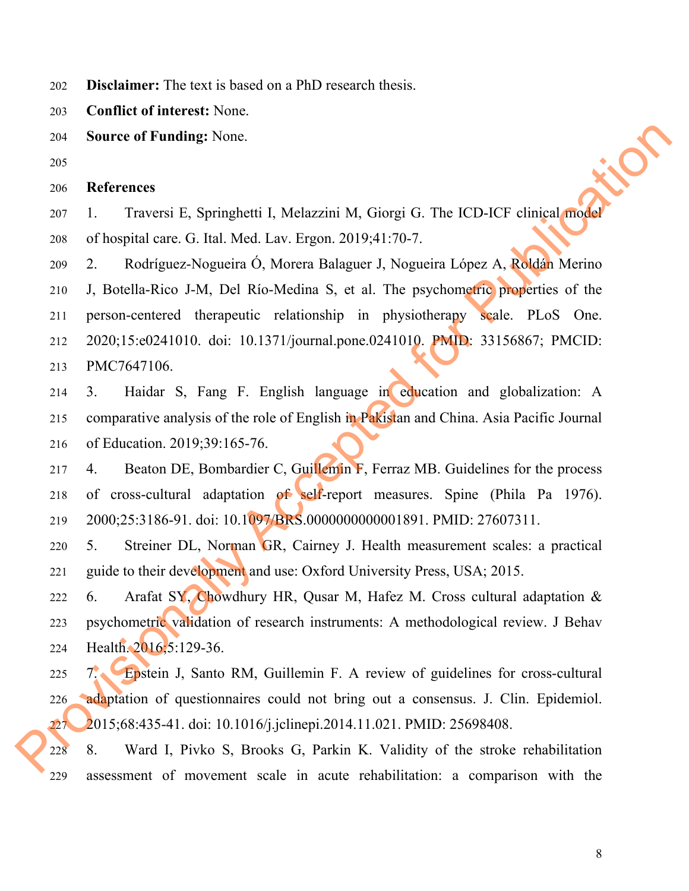202 **Disclaimer:** The text is based on a PhD research thesis.

203 **Conflict of interest:** None.

- 204 **Source of Funding:** None.
- 205

### 206 **References**

207 1. Traversi E, Springhetti I, Melazzini M, Giorgi G. The ICD-ICF clinical model 208 of hospital care. G. Ital. Med. Lav. Ergon. 2019;41:70-7.

209 2. Rodríguez-Nogueira Ó, Morera Balaguer J, Nogueira López A, Roldán Merino 210 J, Botella-Rico J-M, Del Río-Medina S, et al. The psychometric properties of the 211 person-centered therapeutic relationship in physiotherapy scale. PLoS One. 212 2020;15:e0241010. doi: 10.1371/journal.pone.0241010. PMID: 33156867; PMCID: 213 PMC7647106. e.<br>
Accel Lav. Ergon. 2019;41:70-7.<br>
Accel Lav. Ergon. 2019;41:70-7.<br>
The ICD-ICF clinical model<br>
Accel Lav. Ergon. 2019;41:70-7.<br>
1 Río-Medina S, et al. The psychometric properties of the<br>
1 Río-Medina S, et al. The psych

214 3. Haidar S, Fang F. English language in education and globalization: A 215 comparative analysis of the role of English in Pakistan and China. Asia Pacific Journal 216 of Education. 2019;39:165-76.

217 4. Beaton DE, Bombardier C, Guillemin F, Ferraz MB. Guidelines for the process 218 of cross-cultural adaptation of self-report measures. Spine (Phila Pa 1976). 219 2000;25:3186-91. doi: 10.1097/BRS.0000000000001891. PMID: 27607311.

220 5. Streiner DL, Norman GR, Cairney J. Health measurement scales: a practical 221 guide to their development and use: Oxford University Press, USA; 2015.

222 6. Arafat SY, Chowdhury HR, Qusar M, Hafez M. Cross cultural adaptation & 223 psychometric validation of research instruments: A methodological review. J Behav 224 Health. 2016;5:129-36.

225 7. Epstein J, Santo RM, Guillemin F. A review of guidelines for cross-cultural 226 adaptation of questionnaires could not bring out a consensus. J. Clin. Epidemiol. 227 2015;68:435-41. doi: 10.1016/j.jclinepi.2014.11.021. PMID: 25698408. 220 5. Streiner DL, Norman<br>
221 guide to their development and<br>
222 6. Arafat SY, Chowdhury<br>
223 psychometric validation of res<br>
224 Health 2016;5:129-36.<br>
225 7. Epstein J, Santo RM, C<br>
226 adaptation of questionnaires<br>
2

228 8. Ward I, Pivko S, Brooks G, Parkin K. Validity of the stroke rehabilitation 229 assessment of movement scale in acute rehabilitation: a comparison with the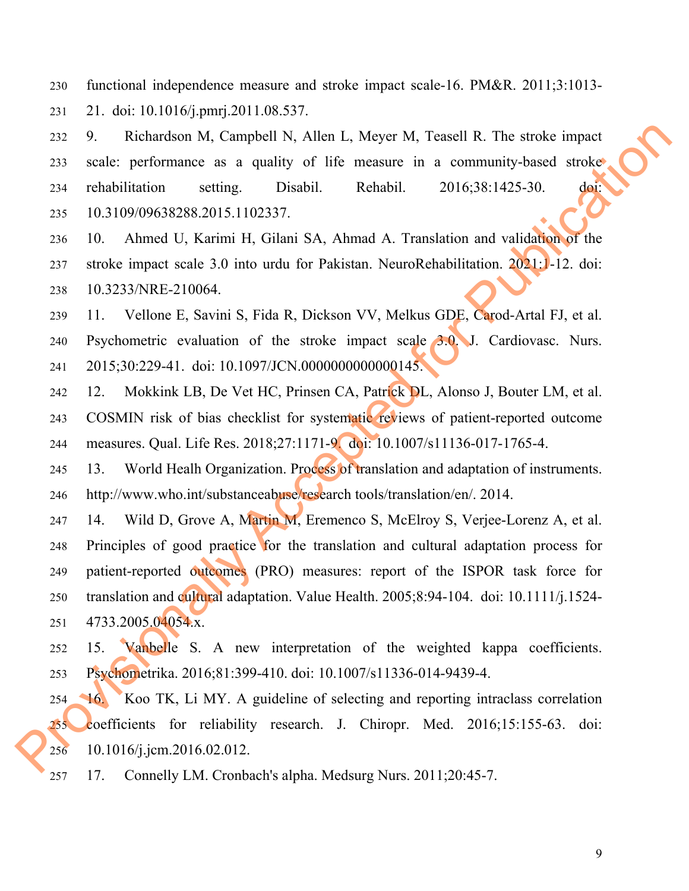230 functional independence measure and stroke impact scale-16. PM&R. 2011;3:1013-

231 21. doi: 10.1016/j.pmrj.2011.08.537.

232 9. Richardson M, Campbell N, Allen L, Meyer M, Teasell R. The stroke impact 233 scale: performance as a quality of life measure in a community-based stroke 234 rehabilitation setting. Disabil. Rehabil. 2016;38:1425-30. doi: 235 10.3109/09638288.2015.1102337. mpbell N, Allen L, Meyer M, Teasell R. The stroke impact<br>a quality of life measure in a community-based stroke<br>t.<br>Disabil. Rehabil. 2016;38:1425-30. doi:<br>1102337.<br>H, Gilani SA, Ahmad A. Translation and validation of the<br>mt

- 236 10. Ahmed U, Karimi H, Gilani SA, Ahmad A. Translation and validation of the 237 stroke impact scale 3.0 into urdu for Pakistan. NeuroRehabilitation. 2021:1-12. doi: 238 10.3233/NRE-210064.
- 239 11. Vellone E, Savini S, Fida R, Dickson VV, Melkus GDE, Carod-Artal FJ, et al. 240 Psychometric evaluation of the stroke impact scale 3.0. J. Cardiovasc. Nurs. 241 2015;30:229-41. doi: 10.1097/JCN.0000000000000145.
- 242 12. Mokkink LB, De Vet HC, Prinsen CA, Patrick DL, Alonso J, Bouter LM, et al. 243 COSMIN risk of bias checklist for systematic reviews of patient-reported outcome 244 measures. Qual. Life Res. 2018;27:1171-9. doi: 10.1007/s11136-017-1765-4.
- 245 13. World Healh Organization. Process of translation and adaptation of instruments. 246 http://www.who.int/substanceabuse/research tools/translation/en/. 2014.
- 247 14. Wild D, Grove A, Martin M, Eremenco S, McElroy S, Verjee-Lorenz A, et al. 248 Principles of good practice for the translation and cultural adaptation process for 249 patient-reported outcomes (PRO) measures: report of the ISPOR task force for 250 translation and cultural adaptation. Value Health. 2005;8:94-104. doi: 10.1111/j.1524- 251 4733.2005.04054.x. 248 Principles of good practice 1<br>
249 patient-reported outcomes (P<br>
250 translation and cultural adaptat<br>
251 4733.2005.04054.x.<br>
252 15. Vanbelle S. A new<br>
253 Psychonetrika. 2016;81:399-4<br>
254 16. Koo TK, Li MY. A gu<br>
2
	- 252 15. Vanbelle S. A new interpretation of the weighted kappa coefficients. 253 Psychometrika. 2016;81:399-410. doi: 10.1007/s11336-014-9439-4.
	- 254 16. Koo TK, Li MY. A guideline of selecting and reporting intraclass correlation 255 coefficients for reliability research. J. Chiropr. Med. 2016;15:155-63. doi: 256 10.1016/j.jcm.2016.02.012.
	- 257 17. Connelly LM. Cronbach's alpha. Medsurg Nurs. 2011;20:45-7.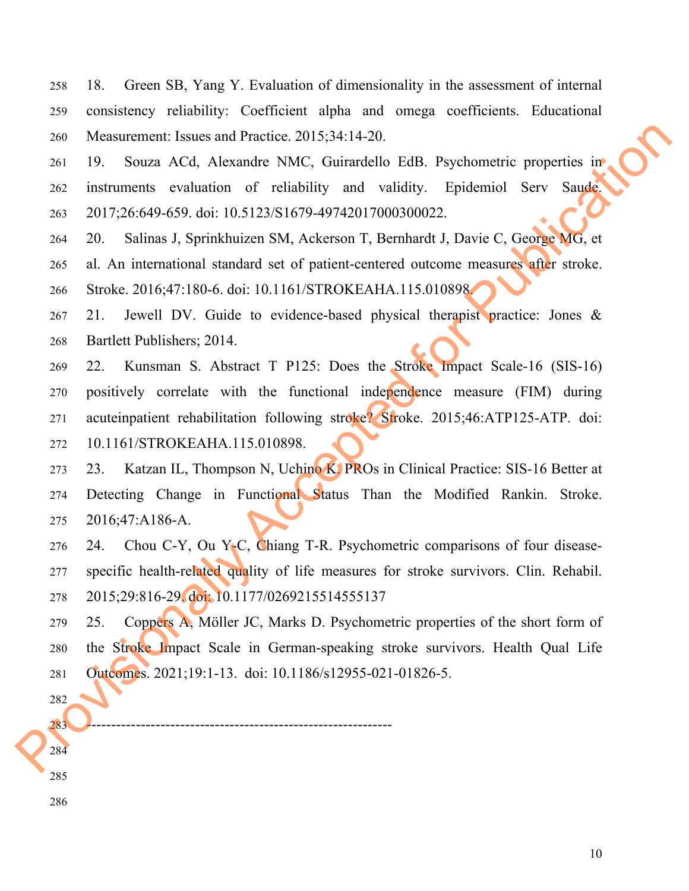258 18. Green SB, Yang Y. Evaluation of dimensionality in the assessment of internal 259 consistency reliability: Coefficient alpha and omega coefficients. Educational 260 Measurement: Issues and Practice. 2015;34:14-20.

261 19. Souza ACd, Alexandre NMC, Guirardello EdB. Psychometric properties in 262 instruments evaluation of reliability and validity. Epidemiol Serv Saude. 263 2017;26:649-659. doi: 10.5123/S1679-49742017000300022.

- 264 20. Salinas J, Sprinkhuizen SM, Ackerson T, Bernhardt J, Davie C, George MG, et
- 265 al. An international standard set of patient-centered outcome measures after stroke.
- 266 Stroke. 2016;47:180-6. doi: 10.1161/STROKEAHA.115.010898.
- 267 21. Jewell DV. Guide to evidence-based physical therapist practice: Jones & 268 Bartlett Publishers; 2014.
- 269 22. Kunsman S. Abstract T P125: Does the Stroke Impact Scale-16 (SIS-16) 270 positively correlate with the functional independence measure (FIM) during 271 acuteinpatient rehabilitation following stroke? Stroke. 2015;46:ATP125-ATP. doi: 272 10.1161/STROKEAHA.115.010898. 260 Measurement. Issues and Practice. 2015;34:14-20.<br>
261 19. Souza ACd, Alexandre NMC, Guiuratello EdB. Psychometric properties inv<br>
262 instruments evaluation of relatibility and validay. Epidemiol Serv Sande<br>
263 2017;
	- 273 23. Katzan IL, Thompson N, Uchino K. PROs in Clinical Practice: SIS-16 Better at 274 Detecting Change in Functional Status Than the Modified Rankin. Stroke. 275 2016;47:A186-A.
	- 276 24. Chou C-Y, Ou Y-C, Chiang T-R. Psychometric comparisons of four disease-277 specific health-related quality of life measures for stroke survivors. Clin. Rehabil. 278 2015;29:816-29. doi: 10.1177/0269215514555137

279 25. Coppers A, Möller JC, Marks D. Psychometric properties of the short form of 280 the Stroke Impact Scale in German-speaking stroke survivors. Health Qual Life 281 Outcomes. 2021;19:1-13. doi: 10.1186/s12955-021-01826-5.

283 --------------------------------------------------------------

282

284

285

286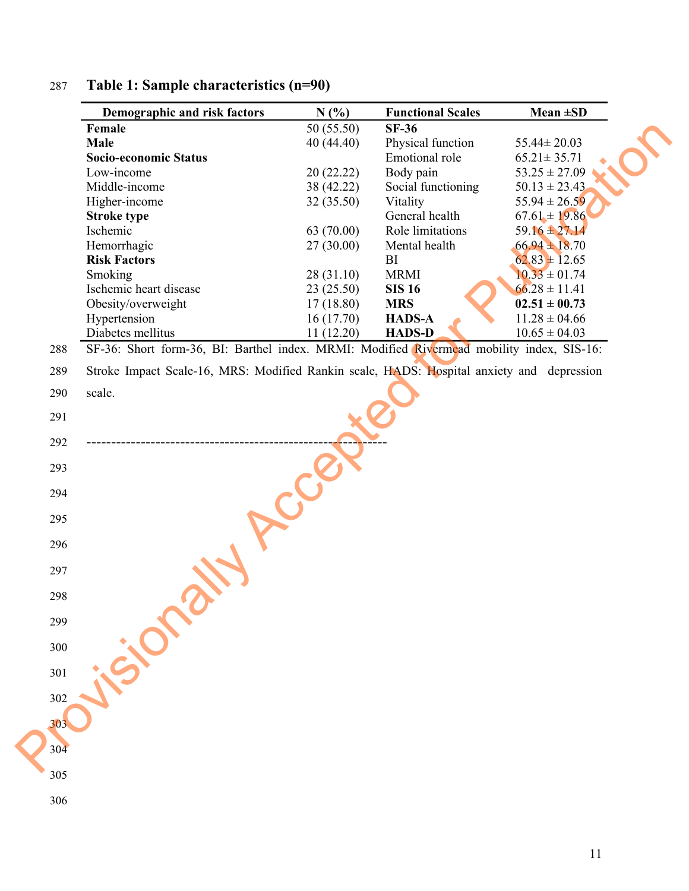|     | Demographic and risk factors                                                              | N(%)       | <b>Functional Scales</b> | Mean $\pm SD$     |
|-----|-------------------------------------------------------------------------------------------|------------|--------------------------|-------------------|
|     | Female                                                                                    | 50 (55.50) | <b>SF-36</b>             |                   |
|     | Male                                                                                      | 40(44.40)  | Physical function        | $55.44 \pm 20.03$ |
|     | Socio-economic Status                                                                     |            | Emotional role           | $65.21 \pm 35.71$ |
|     | Low-income                                                                                | 20 (22.22) | Body pain                | $53.25 \pm 27.09$ |
|     | Middle-income                                                                             | 38 (42.22) | Social functioning       | $50.13 \pm 23.43$ |
|     | Higher-income                                                                             | 32 (35.50) | Vitality                 | $55.94 \pm 26.59$ |
|     | <b>Stroke type</b>                                                                        |            | General health           | $67.61 \pm 19.86$ |
|     | Ischemic                                                                                  | 63 (70.00) | Role limitations         | $59.16 \pm 27.14$ |
|     | Hemorrhagic                                                                               | 27(30.00)  | Mental health            | $66.94 \pm 18.70$ |
|     | <b>Risk Factors</b>                                                                       |            | BI                       | $62.83 \pm 12.65$ |
|     | Smoking                                                                                   | 28 (31.10) | <b>MRMI</b>              | $10.33 \pm 01.74$ |
|     | Ischemic heart disease                                                                    | 23(25.50)  | <b>SIS 16</b>            | $66.28 \pm 11.41$ |
|     | Obesity/overweight                                                                        | 17(18.80)  | <b>MRS</b>               | $02.51 \pm 00.73$ |
|     | Hypertension                                                                              | 16(17.70)  | <b>HADS-A</b>            | $11.28 \pm 04.66$ |
|     | Diabetes mellitus                                                                         | 11(12.20)  | <b>HADS-D</b>            | $10.65 \pm 04.03$ |
| 288 | SF-36: Short form-36, BI: Barthel index. MRMI: Modified Rivermead mobility index, SIS-16: |            |                          |                   |
| 289 | Stroke Impact Scale-16, MRS: Modified Rankin scale, HADS: Hospital anxiety and depression |            |                          |                   |
| 290 | scale.                                                                                    |            |                          |                   |
| 291 |                                                                                           |            |                          |                   |
| 292 |                                                                                           |            |                          |                   |
| 293 |                                                                                           |            |                          |                   |
| 294 |                                                                                           |            |                          |                   |
| 295 |                                                                                           |            |                          |                   |
| 296 |                                                                                           |            |                          |                   |
| 297 |                                                                                           |            |                          |                   |
| 298 |                                                                                           |            |                          |                   |
| 299 |                                                                                           |            |                          |                   |
|     |                                                                                           |            |                          |                   |
| 300 |                                                                                           |            |                          |                   |
| 301 |                                                                                           |            |                          |                   |
| 302 |                                                                                           |            |                          |                   |
| 303 |                                                                                           |            |                          |                   |
| 304 |                                                                                           |            |                          |                   |
| 305 |                                                                                           |            |                          |                   |
| 306 |                                                                                           |            |                          |                   |

# 287 **Table 1: Sample characteristics (n=90)**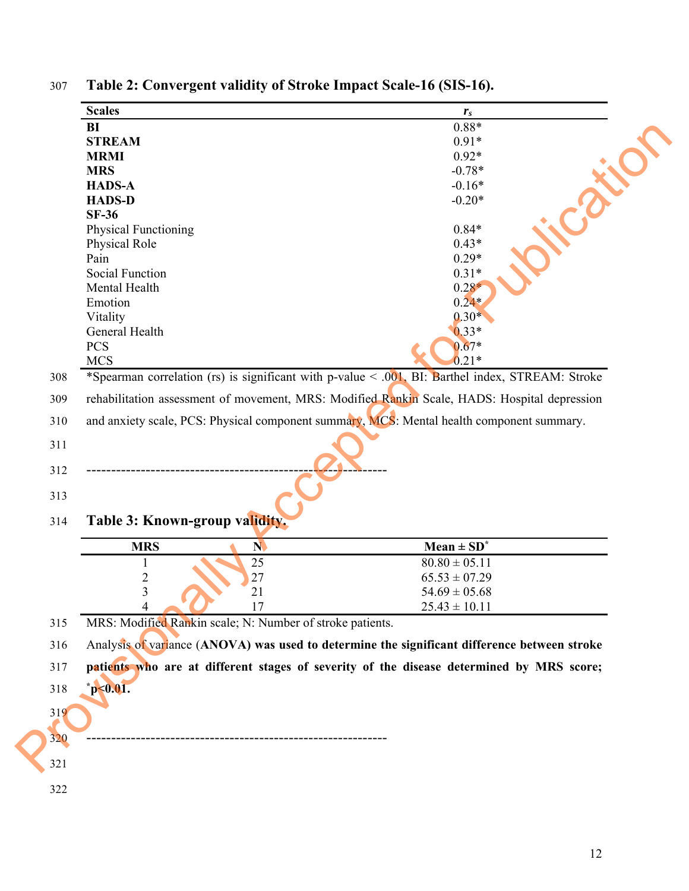| $0.88*$<br><b>BI</b><br><b>STREAM</b><br>$0.91*$<br>$0.92*$<br><b>MRMI</b><br>$-0.78*$<br><b>MRS</b><br>$-0.16*$<br><b>HADS-A</b><br><b>HADS-D</b><br>$-0.20*$<br><b>SF-36</b><br>$0.84*$<br><b>Physical Functioning</b><br>$0.43*$<br>Physical Role<br>$0.29*$<br>Pain<br>$0.31*$<br><b>Social Function</b><br>$0.28*$<br>Mental Health<br>$0.24*$<br>Emotion<br>$0.30*$<br>Vitality<br>$0.33*$<br>General Health<br><b>PCS</b><br>$0.67*$ |                                                                                           |  |  |  |  |
|---------------------------------------------------------------------------------------------------------------------------------------------------------------------------------------------------------------------------------------------------------------------------------------------------------------------------------------------------------------------------------------------------------------------------------------------|-------------------------------------------------------------------------------------------|--|--|--|--|
|                                                                                                                                                                                                                                                                                                                                                                                                                                             |                                                                                           |  |  |  |  |
|                                                                                                                                                                                                                                                                                                                                                                                                                                             |                                                                                           |  |  |  |  |
|                                                                                                                                                                                                                                                                                                                                                                                                                                             |                                                                                           |  |  |  |  |
|                                                                                                                                                                                                                                                                                                                                                                                                                                             |                                                                                           |  |  |  |  |
|                                                                                                                                                                                                                                                                                                                                                                                                                                             |                                                                                           |  |  |  |  |
|                                                                                                                                                                                                                                                                                                                                                                                                                                             |                                                                                           |  |  |  |  |
|                                                                                                                                                                                                                                                                                                                                                                                                                                             |                                                                                           |  |  |  |  |
|                                                                                                                                                                                                                                                                                                                                                                                                                                             |                                                                                           |  |  |  |  |
|                                                                                                                                                                                                                                                                                                                                                                                                                                             |                                                                                           |  |  |  |  |
|                                                                                                                                                                                                                                                                                                                                                                                                                                             |                                                                                           |  |  |  |  |
|                                                                                                                                                                                                                                                                                                                                                                                                                                             |                                                                                           |  |  |  |  |
|                                                                                                                                                                                                                                                                                                                                                                                                                                             |                                                                                           |  |  |  |  |
|                                                                                                                                                                                                                                                                                                                                                                                                                                             |                                                                                           |  |  |  |  |
|                                                                                                                                                                                                                                                                                                                                                                                                                                             |                                                                                           |  |  |  |  |
|                                                                                                                                                                                                                                                                                                                                                                                                                                             |                                                                                           |  |  |  |  |
| <b>MCS</b><br>$0.21*$                                                                                                                                                                                                                                                                                                                                                                                                                       |                                                                                           |  |  |  |  |
| *Spearman correlation (rs) is significant with p-value < .001, BI: Barthel index, STREAM: Stroke<br>308                                                                                                                                                                                                                                                                                                                                     |                                                                                           |  |  |  |  |
| rehabilitation assessment of movement, MRS: Modified Rankin Scale, HADS: Hospital depression                                                                                                                                                                                                                                                                                                                                                |                                                                                           |  |  |  |  |
| 310                                                                                                                                                                                                                                                                                                                                                                                                                                         | and anxiety scale, PCS: Physical component summary, MCS: Mental health component summary. |  |  |  |  |
| 311                                                                                                                                                                                                                                                                                                                                                                                                                                         |                                                                                           |  |  |  |  |
|                                                                                                                                                                                                                                                                                                                                                                                                                                             |                                                                                           |  |  |  |  |
| 312                                                                                                                                                                                                                                                                                                                                                                                                                                         |                                                                                           |  |  |  |  |
| 313                                                                                                                                                                                                                                                                                                                                                                                                                                         |                                                                                           |  |  |  |  |
| Table 3: Known-group validity.<br>314                                                                                                                                                                                                                                                                                                                                                                                                       |                                                                                           |  |  |  |  |
| $Mean \pm SD^*$<br><b>MRS</b><br>N                                                                                                                                                                                                                                                                                                                                                                                                          |                                                                                           |  |  |  |  |
| 25<br>$80.80 \pm 05.11$                                                                                                                                                                                                                                                                                                                                                                                                                     |                                                                                           |  |  |  |  |
| 27<br>$\overline{\mathbf{c}}$<br>$65.53 \pm 07.29$                                                                                                                                                                                                                                                                                                                                                                                          |                                                                                           |  |  |  |  |
| $\mathfrak{Z}$<br>21<br>$54.69 \pm 05.68$                                                                                                                                                                                                                                                                                                                                                                                                   |                                                                                           |  |  |  |  |
| 17<br>$25.43 \pm 10.11$<br>Λ                                                                                                                                                                                                                                                                                                                                                                                                                |                                                                                           |  |  |  |  |
| MRS: Modified Rankin scale; N: Number of stroke patients.<br>315                                                                                                                                                                                                                                                                                                                                                                            |                                                                                           |  |  |  |  |
| Analysis of variance (ANOVA) was used to determine the significant difference between stroke<br>316                                                                                                                                                                                                                                                                                                                                         |                                                                                           |  |  |  |  |
| patients who are at different stages of severity of the disease determined by MRS score;<br>317                                                                                                                                                                                                                                                                                                                                             |                                                                                           |  |  |  |  |
| $^*p<0.01$ .<br>318                                                                                                                                                                                                                                                                                                                                                                                                                         |                                                                                           |  |  |  |  |
| 319                                                                                                                                                                                                                                                                                                                                                                                                                                         |                                                                                           |  |  |  |  |
|                                                                                                                                                                                                                                                                                                                                                                                                                                             |                                                                                           |  |  |  |  |
| 320                                                                                                                                                                                                                                                                                                                                                                                                                                         |                                                                                           |  |  |  |  |
| 321                                                                                                                                                                                                                                                                                                                                                                                                                                         |                                                                                           |  |  |  |  |

307 **Table 2: Convergent validity of Stroke Impact Scale-16 (SIS-16).**